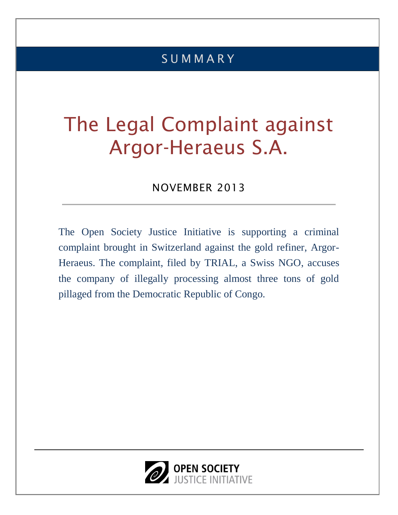# S U M M A R Y

# The Legal Complaint against Argor-Heraeus S.A.

### NOVEMBER 2013

The Open Society Justice Initiative is supporting a criminal complaint brought in Switzerland against the gold refiner, Argor-Heraeus. The complaint, filed by TRIAL, a Swiss NGO, accuses the company of illegally processing almost three tons of gold pillaged from the Democratic Republic of Congo.

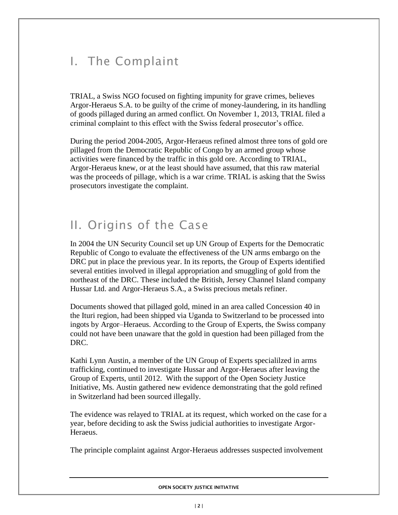# I. The Complaint

TRIAL, a Swiss NGO focused on fighting impunity for grave crimes, believes Argor-Heraeus S.A. to be guilty of the crime of money-laundering, in its handling of goods pillaged during an armed conflict. On November 1, 2013, TRIAL filed a criminal complaint to this effect with the Swiss federal prosecutor's office.

During the period 2004-2005, Argor-Heraeus refined almost three tons of gold ore pillaged from the Democratic Republic of Congo by an armed group whose activities were financed by the traffic in this gold ore. According to TRIAL, Argor-Heraeus knew, or at the least should have assumed, that this raw material was the proceeds of pillage, which is a war crime. TRIAL is asking that the Swiss prosecutors investigate the complaint.

## II. Origins of the Case

In 2004 the UN Security Council set up UN Group of Experts for the Democratic Republic of Congo to evaluate the effectiveness of the UN arms embargo on the DRC put in place the previous year. In its reports, the Group of Experts identified several entities involved in illegal appropriation and smuggling of gold from the northeast of the DRC. These included the British, Jersey Channel Island company Hussar Ltd. and Argor-Heraeus S.A., a Swiss precious metals refiner.

Documents showed that pillaged gold, mined in an area called Concession 40 in the Ituri region, had been shipped via Uganda to Switzerland to be processed into ingots by Argor–Heraeus. According to the Group of Experts, the Swiss company could not have been unaware that the gold in question had been pillaged from the DRC.

Kathi Lynn Austin, a member of the UN Group of Experts specialilzed in arms trafficking, continued to investigate Hussar and Argor-Heraeus after leaving the Group of Experts, until 2012. With the support of the Open Society Justice Initiative, Ms. Austin gathered new evidence demonstrating that the gold refined in Switzerland had been sourced illegally.

The evidence was relayed to TRIAL at its request, which worked on the case for a year, before deciding to ask the Swiss judicial authorities to investigate Argor-Heraeus.

The principle complaint against Argor-Heraeus addresses suspected involvement

**OPEN SOCIETY JUSTICE INITIATIVE**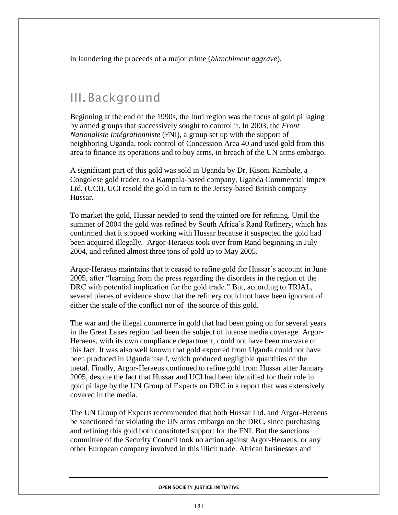in laundering the proceeds of a major crime (*blanchiment aggravé*).

### III. Background

Beginning at the end of the 1990s, the Ituri region was the focus of gold pillaging by armed groups that successively sought to control it. In 2003, the *Front Nationaliste Intégrationniste* (FNI), a group set up with the support of neighboring Uganda, took control of Concession Area 40 and used gold from this area to finance its operations and to buy arms, in breach of the UN arms embargo.

A significant part of this gold was sold in Uganda by Dr. Kisoni Kambale, a Congolese gold trader, to a Kampala-based company, Uganda Commercial Impex Ltd. (UCI). UCI resold the gold in turn to the Jersey-based British company Hussar.

To market the gold, Hussar needed to send the tainted ore for refining. Until the summer of 2004 the gold was refined by South Africa's Rand Refinery, which has confirmed that it stopped working with Hussar because it suspected the gold had been acquired illegally. Argor-Heraeus took over from Rand beginning in July 2004, and refined almost three tons of gold up to May 2005.

Argor-Heraeus maintains that it ceased to refine gold for Hussar's account in June 2005, after "learning from the press regarding the disorders in the region of the DRC with potential implication for the gold trade." But, according to TRIAL, several pieces of evidence show that the refinery could not have been ignorant of either the scale of the conflict nor of the source of this gold.

The war and the illegal commerce in gold that had been going on for several years in the Great Lakes region had been the subject of intense media coverage. Argor-Heraeus, with its own compliance department, could not have been unaware of this fact. It was also well known that gold exported from Uganda could not have been produced in Uganda itself, which produced negligible quantities of the metal. Finally, Argor-Heraeus continued to refine gold from Hussar after January 2005, despite the fact that Hussar and UCI had been identified for their role in gold pillage by the UN Group of Experts on DRC in a report that was extensively covered in the media.

The UN Group of Experts recommended that both Hussar Ltd. and Argor-Heraeus be sanctioned for violating the UN arms embargo on the DRC, since purchasing and refining this gold both constituted support for the FNI. But the sanctions committee of the Security Council took no action against Argor-Heraeus, or any other European company involved in this illicit trade. African businesses and

#### **OPEN SOCIETY JUSTICE INITIATIVE**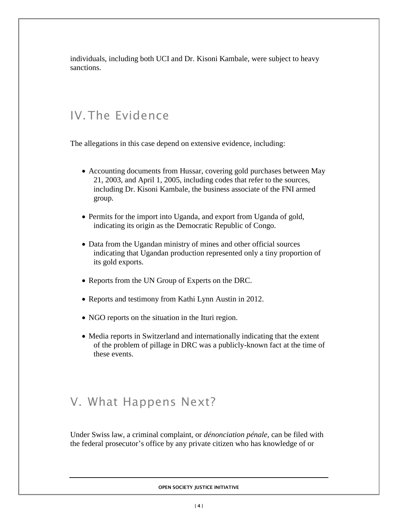individuals, including both UCI and Dr. Kisoni Kambale, were subject to heavy sanctions.

### IV.The Evidence

The allegations in this case depend on extensive evidence, including:

- Accounting documents from Hussar, covering gold purchases between May 21, 2003, and April 1, 2005, including codes that refer to the sources, including Dr. Kisoni Kambale, the business associate of the FNI armed group.
- Permits for the import into Uganda, and export from Uganda of gold, indicating its origin as the Democratic Republic of Congo.
- Data from the Ugandan ministry of mines and other official sources indicating that Ugandan production represented only a tiny proportion of its gold exports.
- Reports from the UN Group of Experts on the DRC.
- Reports and testimony from Kathi Lynn Austin in 2012.
- NGO reports on the situation in the Ituri region.
- Media reports in Switzerland and internationally indicating that the extent of the problem of pillage in DRC was a publicly-known fact at the time of these events.

#### V. What Happens Next?

Under Swiss law, a criminal complaint, or *dénonciation pénale,* can be filed with the federal prosecutor's office by any private citizen who has knowledge of or

**OPEN SOCIETY JUSTICE INITIATIVE**